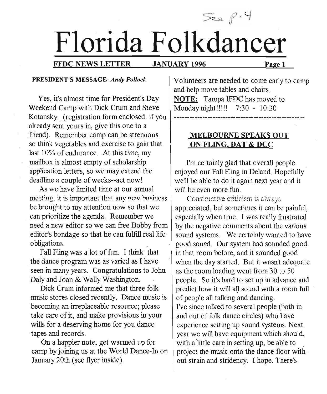# See p.4 **Florida Folkdancer**

#### FFDC NEWS LETTER JANUARY 1996 Page 1

#### PRESIDENT'S MESSAGE- *Andy Pollock*

Yes, it's almost time for President's Day Weekend Camp with Dick Crum and Steve Kotansky. (registration form enclosed: if you already sent yours in, give this one to a friend). Remember camp can be strenuous so think vegetables and exercise to gain that last 10% of endurance. At this time, my mailbox is almost empty of scholarship application letters, so we may extend the deadline a couple of weeks--act now!

As we have limited time at our annual meeting, it is important that any new business be brought to my attention now so that we can prioritize the agenda. Remember we need a new editor so we can free Bobby from editor'S bondage so that he can fulfill real life obligations.

Fall Fling was a lot of fun. I think that the dance program was as varied as I have seen in many years. Congratulations to John Daly and Joan & Wally Washington.

Dick Crum informed me that three folk music stores closed recently. Dance music is becoming an irreplaceable resource; please take care of it, and make provisions in your wills for a deserving home for you dance tapes and records.

On a happier note, get warmed up for camp by joining us at the World Dance-In on January 20th (see flyer inside).

Volunteers are needed to come early to camp and help move tables and chairs. NOTE: Tampa IFDC has moved to Mondaynight!!!!! 7:30 - 10:30

> MELBOURNE SPEAKS OUT ON FLING, DAT & DCC

I'm certainly glad that overall people enjoyed our Fall Fling in Deland. Hopefully we'll be able to do it again next year and it will be even more fun.

Constructive criticism is always appreciated, but sometimes it can be painful, especially when true. I was really frustrated by the negative comments about the various sound systems. We certainly wanted to have good sound. Our system had sounded good in that room before, and it sounded good when the day started. But it wasn't adequate as the room loading went from 30 to 50 people. So it's hard to set up in advance and predict how it will all sound with a room full of people all talking and dancing. I've since talked to several people (both in and out of folk dance circles) who have experience setting up sound systems. Next year we will have equipment which should, with a little care in setting up, be able to project the music onto the dance floor without strain and stridency. I hope. There's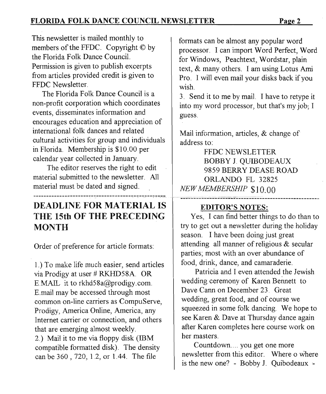This newsletter is mailed monthly to members of the FFDC. Copyright © by the Florida Folk Dance Council. Permission is given to publish excerpts from articles provided credit is given to FFDC Newsletter.

The Florida Folk Dance Council is a non-profit corporation which coordinates events, disseminates information and encourages education and appreciation of international folk dances and related cultural activities for group and individuals in Florida. Membership is \$10.00 per calendar year collected in January.

The editor reserves the right to edit material submitted to the newsletter. All material must be dated and signed.

### DEADLINE FOR MATERIAL IS THE 15th OF THE PRECEDING MONTH

Order of preference for article formats:

1.) To make life much easier, send articles via Prodigy at user # RKHD58A. OR E.MAIL it to rkhd58a@prodigy.com. E.mail may be accessed through most common on-line carriers as CompuServe, Prodigy, America Online, America, any Internet carrier or connection, and others that are emerging almost weekly. 2.) Mail it to me via floppy disk (IBM compatible formatted disk). The density can be 360, 720, 1.2, or 1.44. The file

formats can be almost any popular word processor. I can import Word Perfect, Word for Windows, Peachtext, Wordstar, plain text, & many others. I am using Lotus Ami Pro. I will even mail your disks back if you wish.

3. Send it to me by mail. I have to retype it into my word processor, but that's my job; I guess.

Mail information, articles, & change of address to:

FFDC NEWSLETTER BOBBY J. QUIBODEAUX 9859 BERRY DEASE ROAD ORLANDO FL 32825 *NEWMEMBERSHIP \$10.00*

#### EDITOR'S NOTES:

Yes, I can find better things to do than to try to get out a newsletter during the holiday season. I have been doing just great attending all manner of religious & secular parties; most with an over abundance of food, drink, dance, and camaraderie.

Patricia and I even attended the Jewish wedding ceremony of Karen Bennett to Dave Cann on December 23. Great wedding, great food, and of course we squeezed in some folk dancing. We hope to see Karen & Dave at Thursday dance again after Karen completes here course work on her masters.

Countdown .... you get one more newsletter from this editor. Where o where is the new one? - Bobby J. Quibodeaux -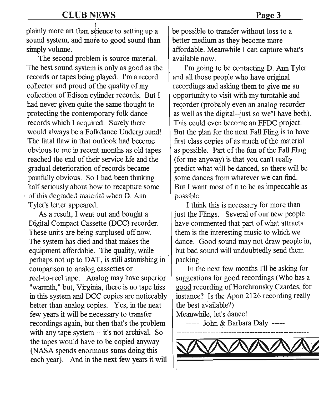I plainly more art than science to setting up a sound system, and more to good sound than simply volume.

The second problem is source material. The best sound system is only as good as the records or tapes being played. I'm a record collector and proud of the quality of my collection of Edison cylinder records. But I had never given quite the same thought to protecting the contemporary folk dance records which I acquired. Surely there would always be a Folkdance Underground! The fatal flaw in that outlook had become obvious to me in recent months as old tapes reached the end of their service life and the gradual deterioration of records became painfully obvious. So I had been thinking half seriously about how to recapture some , of this degraded material when D. Ann Tyler's letter appeared.

As a result, I went out and bought a Digital Compact Cassette (DCC) recorder. These units are being surplused off now. The system has died and that makes the equipment affordable. The quality, while perhaps not up to DAT, is still astonishing in comparison to analog cassettes or reel-to-reel tape. Analog may have superior "warmth," but, Virginia, there is no tape hiss in this system and DCC copies are noticeably better than analog copies. Yes, in the next few years it will be necessary to transfer recordings again, but then that's the problem with any tape system -- it's not archival. So the tapes would have to be copied anyway (NASA spends enormous sums doing this each year). And in the next few years it will

be possible to transfer without loss to a better medium as they become more affordable. Meanwhile I can capture what's available now.

I'm going to be contacting D. Ann Tyler and all those people who have original recordings and asking them to give me an opportunity to visit with my turntable and recorder (probably even an analog recorder as well as the digital--just so we'll have both). This could even become an FFDC project. But the plan for the next Fall Fling is to have first class copies of as much of the material as possible. Part of the fun of the Fall Fling (for me anyway) is that you can't really predict what will be danced, so there will be some dances from whatever we can find. But I want most of it to be as impeccable as possible.

I think this is necessary for more than just the Flings. Several of our new people have commented that part of what attracts them is the interesting music to which we dance. Good sound may not draw people in, but bad sound will undoubtedly send them packing.

In the next few months I'll be asking for suggestions for good recordings (Who has a good recording of Horehronsky Czardas, for instance? Is the Apon 2126 recording really the best available?)

Meanwhile, let's dance!

----- John & Barbara Daly -----

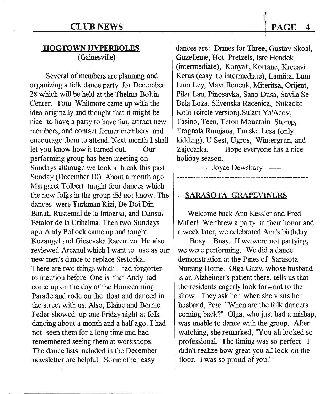#### **HOGTOWN HYPERBOLES** (Gainesville)

Several of members are planning and organizing a folk dance party for December 28 which will be held at the Thelma Boltin Center. Tom Whitmore came up with the idea originally and thought that it might be nice to have a party to have fun, attract new members..and contact former members and encourage them to attend. Next month I shall let you know how it turned out. Our performing group has been meeting on Sundays although we took a break this past Sunday (December 10). About a month ago Margaret Tolbert taught four dances which the new folks in the group did not know. The dances were Turkman Kizi, De Doi Din Banat, Rustemul de la Intoarsa, and Dansul Fetalor de la Crihalma. Then two Sundays ago Andy Pollock came up and taught Kozangel and Giesevska Racenitza. He also reviewed Arcanul which I want to use as our new men's dance to replace Sestorka. There are two things which I had forgotten to mention before. One is that Andy had come up on the day of the Homecoming Parade and rode on the float and danced in the street with us. Also, Elaine and Bernie Feder showed up one Friday night at folk dancing about a month and a half ago. I had not seen them for a long time and had remembered seeing them at workshops. The dance lists included in the December newsletter are helpful. Some other easy

--~------------ --- ---

dances are: Drmes for Three, Gustav Skoal, Guzelleme, Hot Pretzels, Iste Hendek (intermediate), Konyali, Kortanc, Krecavi Ketus (easy to intermediate), Lamiita, Lum Lum Ley, Mavi Boncuk, Miteritsa, Orijent, Pilar Lan, Pinosavka, Sano Dusa, Savila Se Bela Loza, Slivenska Racenica, Sukacko Kolo (circle version),Sulam Ya'Acov, Tasino, Teen, Teton Mountain Stomp, Tragnala Rumjana, Tunska Lesa (only kidding), USest, Ugros, Wintergrun, and Zajecarka. Hope everyone has a nice holiday season.

----- Joyce Dewsbury -----

**. SARASOTA GRAPEVINERS** 

Welcome back Ann Kessler and Fred Miller! We threw a party in their honor and a week later, we celebrated Ann's birthday.

Busy. Busy. If we were not partying, we were performing. We did a dance demonstration at the Pines of Sarasota Nursing Home. Olga Guzy, whose husband is an Alzheimer's patient there, tells us that the residents eagerly look forward to the show. They ask her when she visits her husband, Pete. "When are the folk dancers coming back?" Olga, who just had a mishap, was unable to dance with the group. After watching, she remarked, "You all looked so professional. The timing was so perfect. I didn't realize how great you all look on the floor. I was so proud of you."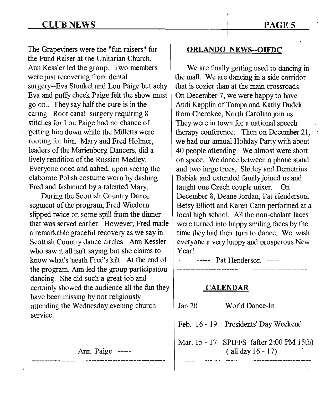#### CLUB NEWS

The Grapeviners were the "fun raisers" for the Fund Raiser at the Unitarian Church. Ann Kessler led the group. Two members were just recovering from dental surgery--Eva Stunkel and Lou Paige but achy Eva and puffy cheek Paige felt the show must go on.. They say half the cure is in the caring. Root canal surgery requiring 8 stitches for Lou Paige had no chance of ~~etting him down while the Milietts were rooting for him. Mary and Fred Holmer, leaders of the Marienborg Dancers, did a lively rendition of the Russian Medley. Everyone ooed and aahed, upon seeing the elaborate Polish costume worn by dashing Fred and fashioned by a talented Mary.

During the Scottish Country Dance segment of the program, Fred Wiedorn slipped twice on some spill from the dinner that was served earlier. However, Fred made a remarkable graceful recovery as we say in Scottish Country dance circles. Ann Kessler who saw it all isn't saying but she claims to know what's 'neath Fred's kilt. At the end of the program, Ann led the group participation dancing. She did such a great job and certainly showed the audience all the fun they have been missing by not religiously attending the Wednesday evening church service.

----- Ann Paige -----

#### ORLANDO NEWS--OIFDC

We are finally getting used to dancing in the mall. We are dancing in a side corridor that is cozier than at the main crossroads. On December 7, we were happy to have Andi Kapplin of Tampa and Kathy Dudek from Cherokee, North Carolina join us. They were in town for a national speech therapy conference. Then on December  $21$ . we had our annual Holiday Party with about 40 people attending. We almost were short on space. We dance between a phone stand and two large trees. Shirley and Demetrius Babiak and extended family joined us and taught one Czech couple mixer. On December 8, Deane Jordan, Pat Henderson, Betsy Elliott and Karen Cann performed at a local high school. All the non-chalant faces were turned into happy smiling faces by the time they had their turn to dance. We wish everyone a very happy and prosperous New Year!

----- Pat Henderson -----

#### CALENDAR

| Jan 20 | World Dance-In                                                     |  |
|--------|--------------------------------------------------------------------|--|
|        | Feb. 16 - 19 Presidents' Day Weekend                               |  |
|        | Mar. 15 - 17 SPIFFS (after 2:00 PM 15th)<br>$($ all day $16 - 17)$ |  |

#### PAGE 5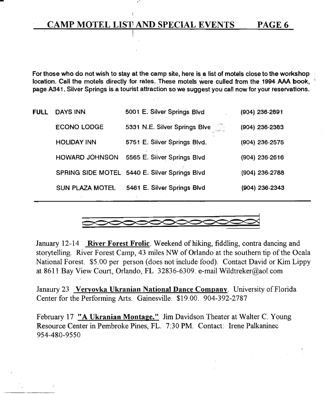#### CAMP MOTEL LIST AND SPECIAL EVENTS PAGE 6

/

For those who do not wish to stay at the camp site. here is a list of motels close to the workshop location. Call the motels directly for rates; These motels were culled from the 1994 AAA book. page A341. Silver Springs is a tourist attraction so we suggest you call now for your reservations.

| <b>FULL</b> | <b>DAYS INN</b>       | 5001 E. Silver Springs Blvd                   | (904) 236-2891   |
|-------------|-----------------------|-----------------------------------------------|------------------|
|             | <b>ECONO LODGE</b>    | 5331 N.E. Silver Springs Blve                 | (904) 236-2383   |
|             | <b>HOLIDAY INN</b>    | 5751 E. Silver Springs Blvd.                  | $(904)$ 236-2575 |
|             | <b>HOWARD JOHNSON</b> | at the first<br>5565 E. Silver Springs Blvd   | $(904)$ 236-2616 |
|             |                       | SPRING SIDE MOTEL 5440 E. Silver Springs Blvd | (904) 236-2788   |
|             | SUN PLAZA MOTEL.      | 5461 E. Silver Springs Blvd                   | (904) 236-2343   |



January 12-14 River Forest Frolic. Weekend of hiking, fiddling, contra dancing and storytelling. River Forest Camp, 43 miles NW of Orlando at the southern tip of the Ocala National Forest. \$5.00 per person (does not include food). Contact David or Kim Lippy at 8611 Bay View Court, Orlando, FL 32836-6309. e-mail Wildtreker@ao1.com

Janaury 23 Veryovka Ukranian National Dance Company. University of Florida Center for the Performing Arts. Gainesville. \$19.00. 904-392-2787

February 17 "A Ukranian Montage." Jim Davidson Theater at Walter C. Young Resource Center in Pembroke Pines, FL. 7:30 PM. Contact: Irene Palkaninec 954-480-9550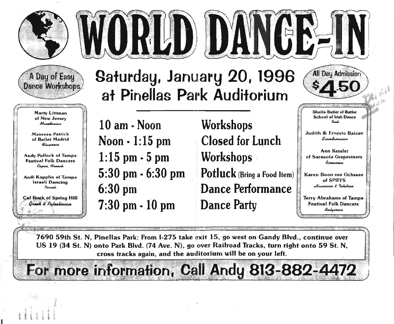



### A Day of Easy Dance Workshops

Marty Littman of New 'Jersey *<u>Macedonian</u>* 

.Maureen Patrick of Ballet Madrid  $a_{l_2}$ 

Andy Pollock of Tampa Festival Folk Dancers Caiun, *Pronok* 

Andi Kapplin of Tampa Israeli Dancing Israeli

Cal Buck of Spring Hill<br>*Qrook & Palestinian* 

*i*

., ~ ~

 $\overline{\mathfrak{t}}$ 

r=  $\vee$  -

## **Saturday, January 20, 1996 at Pinellas Park Auditorium'**

**10** am- **Noon Noon · 1:15 pm 1:15** pm- **5 pm 5:30 pm . 6:30 pm 6:30 pm 7:30** pm- **10 pm**

**Workshops Closed for Lunch :Workshops . :Potluck** (Bring a Food Item) **Dance Performance Dance Party**



Sheila Butler of Butler School of Irish Dance

Judith & Ernesto Baizan *S~*

I;

iJ

::':"

Ann Kessler *Ii* of Sarasota Grapeviners' *R~* I::':'

Karen Boon von Ochssee<br>of SPIFFS Haura**jian** & Tahitian

Terry Abrahams of Tampa Festival Folk Dancers Bulgarian

7690 59th St. N, Pinellas Park: From I-275 take exit 15, go west on Gandy Blvd., continue over

US 19 (34 St. N) onto Park Blvd. (74 Ave. N), go over Railroad Tracks, turn right onto 59 St. N, cross tracks again, and the auditorium will be on your left.<br> **For more information, Call Andy 813-882-4472**